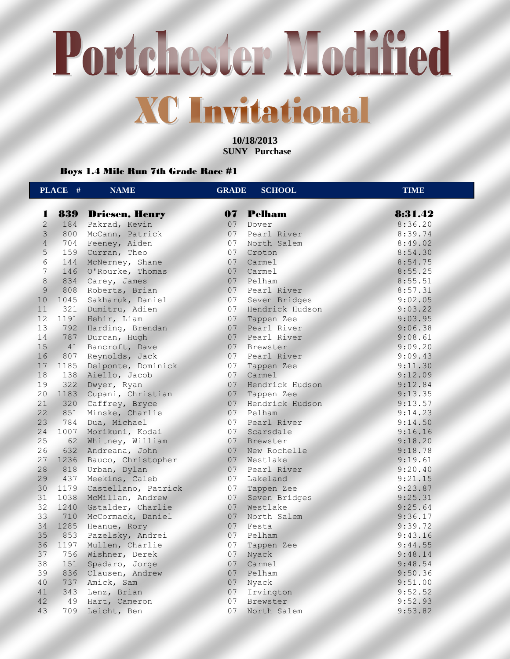**10/18/2013 SUNY Purchase** 

Boys 1.4 Mile Run 7th Grade Race #1

|                | PLACE # | <b>NAME</b>           | <b>GRADE</b>    | <b>SCHOOL</b>   | <b>TIME</b> |
|----------------|---------|-----------------------|-----------------|-----------------|-------------|
| 1              | 839     | <b>Driesen, Henry</b> | 07              | <b>Pelham</b>   | 8:31.42     |
| $\overline{2}$ | 184     | Pakrad, Kevin         | 07              | Dover           | 8:36.20     |
| $\overline{3}$ | 800     | McCann, Patrick       | 07              | Pearl River     | 8:39.74     |
| $\overline{4}$ | 704     | Feeney, Aiden         | 07              | North Salem     | 8:49.02     |
| 5 <sup>1</sup> | 159     | Curran, Theo          | 07              | Croton          | 8:54.30     |
| 6              | 144     | McNerney, Shane       | 07              | Carmel          | 8:54.75     |
| $\overline{7}$ | 146     | O'Rourke, Thomas      | 07              | Carmel          | 8:55.25     |
| $\,8\,$        | 834     | Carey, James          | 07 <sup>7</sup> | Pelham          | 8:55.51     |
| $\overline{9}$ | 808     | Roberts, Brian        | 07              | Pearl River     | 8:57.31     |
| 10             | 1045    | Sakharuk, Daniel      | 07              | Seven Bridges   | 9:02.05     |
| 11             |         | 321 Dumitru, Adien    | 07              | Hendrick Hudson | 9:03.22     |
| 12             | 1191    | Hehir, Liam           | 07              | Tappen Zee      | 9:03.95     |
| 13             | 792     | Harding, Brendan      | 07              | Pearl River     | 9:06.38     |
| 14             | 787     | Durcan, Hugh          | 07              | Pearl River     | 9:08.61     |
| 15             | 41      | Bancroft, Dave        | 07              | Brewster        | 9:09.20     |
| 16             | 807     | Reynolds, Jack        | 07              | Pearl River     | 9:09.43     |
| 17             | 1185    | Delponte, Dominick    | 07              | Tappen Zee      | 9:11.30     |
| 18             | 138     | Aiello, Jacob         | 07              | Carmel          | 9:12.09     |
| 19             | 322     | Dwyer, Ryan           | 07              | Hendrick Hudson | 9:12.84     |
| 20             | 1183    | Cupani, Christian     | 07              | Tappen Zee      | 9:13.35     |
| 21             | 320     | Caffrey, Bryce        | 07              | Hendrick Hudson | 9:13.57     |
| 22             | 851     | Minske, Charlie       | 07              | Pelham          | 9:14.23     |
| 23             | 784     | Dua, Michael          | 07              | Pearl River     | 9:14.50     |
| 24             | 1007    | Morikuni, Kodai       | 07              | Scarsdale       | 9:16.16     |
| 25             | 62      | Whitney, William      | 07              | Brewster        | 9:18.20     |
| 26             | 632     | Andreana, John        | 07              | New Rochelle    | 9:18.78     |
| 27             | 1236    | Bauco, Christopher    | 07              | Westlake        | 9:19.61     |
| 28             | 818     | Urban, Dylan          | 07              | Pearl River     | 9:20.40     |
| 29             | 437     | Meekins, Caleb        | 07              | Lakeland        | 9:21.15     |
| 30             | 1179    | Castellano, Patrick   | 07              | Tappen Zee      | 9:23.87     |
| 31             | 1038    | McMillan, Andrew      | 07              | Seven Bridges   | 9:25.31     |
| 32             | 1240    | Gstalder, Charlie     | 07              | Westlake        | 9:25.64     |
| 33             | 710     | McCormack, Daniel     | 07              | North Salem     | 9:36.17     |
| 34             | 1285    | Heanue, Rory          | 07 <sup>2</sup> | Festa           | 9:39.72     |
| 35             | 853     | Pazelsky, Andrei      | 07              | Pelham          | 9:43.16     |
| 36             | 1197    | Mullen, Charlie       | 07              | Tappen Zee      | 9:44.55     |
| 37             | 756     | Wishner, Derek        | 07              | Nyack           | 9:48.14     |
| 38             | 151     | Spadaro, Jorge        | 07              | Carmel          | 9:48.54     |
| 39             | 836     | Clausen, Andrew       | 07              | Pelham          | 9:50.36     |
| 40             | 737     | Amick, Sam            | 07 <sub>2</sub> | Nyack           | 9:51.00     |
| 41             | 343     | Lenz, Brian           | 07 <sup>o</sup> | Irvington       | 9:52.52     |
| 42             | 49      | Hart, Cameron         | 07              | Brewster        | 9:52.93     |
| 43             | 709     | Leicht, Ben           | 07              | North Salem     | 9:53.82     |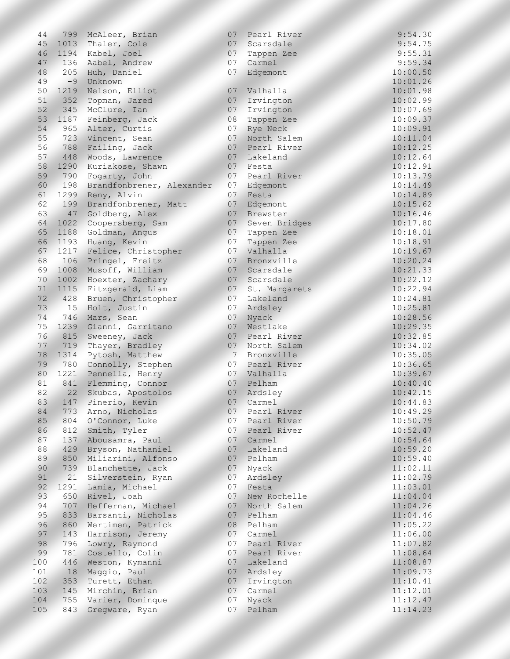| 44              | 799  | McAleer, Brian            | 07             | Pearl River   | 9:54.30  |
|-----------------|------|---------------------------|----------------|---------------|----------|
| 45 <sub>2</sub> |      | 1013 Thaler, Cole         | 07             | Scarsdale     | 9:54.75  |
| 46              | 1194 | Kabel, Joel               | 07             | Tappen Zee    | 9:55.31  |
| 47              | 136  | Aabel, Andrew             | 07             | Carmel        | 9:59.34  |
| 48              | 205  | Huh, Daniel               | 07             | Edgemont      | 10:00.50 |
| 49              | $-9$ | Unknown                   |                |               | 10:01.26 |
| 50              | 1219 | Nelson, Elliot            | 07             | Valhalla      | 10:01.98 |
| 51              | 352  | Topman, Jared             | 07             | Irvington     | 10:02.99 |
| 52              |      | 345 McClure, Ian          | 07             | Irvington     | 10:07.69 |
| 53              | 1187 | Feinberg, Jack            | 08             | Tappen Zee    | 10:09.37 |
| 54              |      | 965 Alter, Curtis         | 07             | Rye Neck      | 10:09.91 |
| 55              | 723  | Vincent, Sean             | 07             | North Salem   | 10:11.04 |
| 56              | 788  | Failing, Jack             | 07             | Pearl River   | 10:12.25 |
| 57              | 448  | Woods, Lawrence           | 07             | Lakeland      | 10:12.64 |
| 58              | 1290 | Kuriakose, Shawn          | 07             | Festa         | 10:12.91 |
| 59              | 790  | Fogarty, John             | 07             | Pearl River   | 10:13.79 |
| 60              | 198  | Brandfonbrener, Alexander | 07             | Edgemont      | 10:14.49 |
| 61              | 1299 | Reny, Alvin               | 07             | Festa         | 10:14.89 |
| 62              | 199  | Brandfonbrener, Matt      | 07             | Edgemont      | 10:15.62 |
| 63              | 47   | Goldberg, Alex            | 07             | Brewster      | 10:16.46 |
| 64              | 1022 | Coopersberg, Sam          | 07             | Seven Bridges | 10:17.80 |
| 65              | 1188 | Goldman, Angus            | 07             | Tappen Zee    | 10:18.01 |
| 66              | 1193 | Huang, Kevin              | 07             | Tappen Zee    | 10:18.91 |
| 67              | 1217 | Felice, Christopher       | 07             | Valhalla      | 10:19.67 |
| 68              | 106  | Pringel, Freitz           | 07             | Bronxville    | 10:20.24 |
| 69              | 1008 | Musoff, William           | 07             | Scarsdale     | 10:21.33 |
| 70              | 1002 | Hoexter, Zachary          | 07             | Scarsdale     | 10:22.12 |
| 71              | 1115 | Fitzgerald, Liam          | 07             | St. Margarets | 10:22.94 |
| 72              | 428  | Bruen, Christopher        | 07             | Lakeland      | 10:24.81 |
| 73              | 15   | Holt, Justin              | 07             | Ardsley       | 10:25.81 |
| 74              | 746  | Mars, Sean                | 07             | Nyack         | 10:28.56 |
| 75              | 1239 | Gianni, Garritano         | 07             | Westlake      | 10:29.35 |
| 76              | 815  | Sweeney, Jack             | 07             | Pearl River   | 10:32.85 |
| 77              | 719  | Thayer, Bradley           | 07             | North Salem   | 10:34.02 |
| 78              | 1314 | Pytosh, Matthew           | 7 <sup>1</sup> | Bronxville    | 10:35.05 |
| 79              | 780  | Connolly, Stephen         | 07             | Pearl River   | 10:36.65 |
| 80              | 1221 | Pennella, Henry           | 07             | Valhalla      | 10:39.67 |
| 81              | 841  | Flemming, Connor          | 07             | Pelham        | 10:40.40 |
| 82              | 22   | Skubas, Apostolos         | 07             | Ardsley       | 10:42.15 |
| 83              | 147  | Pinerio, Kevin            | 07             | Carmel        | 10:44.83 |
| 84              | 773  | Arno, Nicholas            | 07             | Pearl River   | 10:49.29 |
| 85              | 804  | O'Connor, Luke            | 07             | Pearl River   | 10:50.79 |
| 86              | 812  | Smith, Tyler              | 07             | Pearl River   | 10:52.47 |
| 87              | 137  | Abousamra, Paul           | 07             | Carmel        | 10:54.64 |
| 88              | 429  | Bryson, Nathaniel         | 07             | Lakeland      | 10:59.20 |
| 89              | 850  | Miliarini, Alfonso        | 07             | Pelham        | 10:59.40 |
| 90              | 739  | Blanchette, Jack          | 07             | Nyack         | 11:02.11 |
| 91              | 21   | Silverstein, Ryan         | 07             | Ardsley       | 11:02.79 |
| 92              | 1291 | Lamia, Michael            | 07             | Festa         | 11:03.01 |
| 93              | 650  | Rivel, Joah               | 07             | New Rochelle  | 11:04.04 |
| 94              | 707  | Heffernan, Michael        | 07             | North Salem   | 11:04.26 |
| 95              | 833  | Barsanti, Nicholas        | 07             | Pelham        | 11:04.46 |
| 96              | 860  | Wertimen, Patrick         | 08             | Pelham        | 11:05.22 |
| 97              | 143  | Harrison, Jeremy          | 07             | Carmel        | 11:06.00 |
| 98              | 796  | Lowry, Raymond            | 07             | Pearl River   | 11:07.82 |
| 99              | 781  | Costello, Colin           | 07             | Pearl River   | 11:08.64 |
| 100             | 446  | Weston, Kymanni           | 07             | Lakeland      | 11:08.87 |
| 101             | 18   | Maggio, Paul              | 07             | Ardsley       | 11:09.73 |
| 102             | 353  | Turett, Ethan             | 07             | Irvington     | 11:10.41 |
| 103             | 145  | Mirchin, Brian            | 07             | Carmel        | 11:12.01 |
| 104             | 755  | Varier, Dominque          | 07             | Nyack         | 11:12.47 |
| 105             | 843  | Gregware, Ryan            | 07             | Pelham        | 11:14.23 |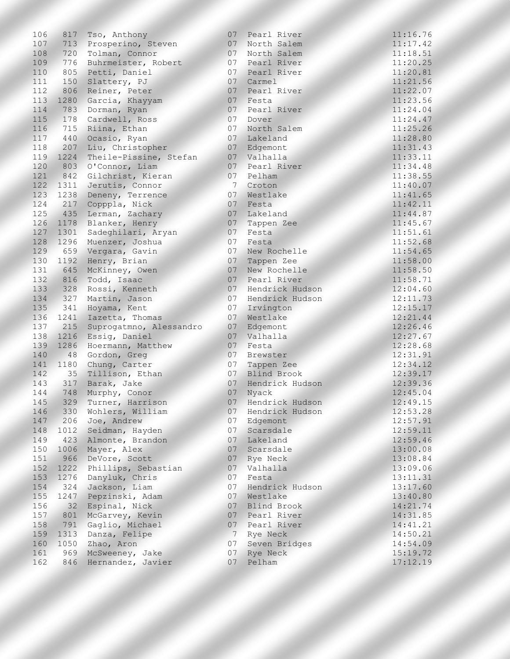| 106 | 817  | Tso, Anthony            | 07             | Pearl River        | 11:16.76 |
|-----|------|-------------------------|----------------|--------------------|----------|
| 107 |      | 713 Prosperino, Steven  | 07             | North Salem        | 11:17.42 |
| 108 | 720  | Tolman, Connor          | 07             | North Salem        | 11:18.51 |
| 109 | 776  | Buhrmeister, Robert     | 07             | Pearl River        | 11:20.25 |
| 110 | 805  | Petti, Daniel           | 07             | Pearl River        | 11:20.81 |
| 111 | 150  | Slattery, PJ            | 07             | Carmel             | 11:21.56 |
| 112 | 806  | Reiner, Peter           | 07             | Pearl River        | 11:22.07 |
| 113 | 1280 | Garcia, Khayyam         | 07             | Festa              | 11:23.56 |
| 114 | 783  | Dorman, Ryan            | 07             | Pearl River        | 11:24.04 |
| 115 | 178  | Cardwell, Ross          | 07             | Dover              | 11:24.47 |
| 116 | 715  | Riina, Ethan            | 07             | North Salem        | 11:25.26 |
| 117 | 440  | Ocasio, Ryan            | 07             | Lakeland           | 11:28.80 |
| 118 | 207  | Liu, Christopher        | 07             | Edgemont           | 11:31.43 |
| 119 | 1224 | Theile-Pissine, Stefan  | 07             | Valhalla           | 11:33.11 |
| 120 | 803  | O'Connor, Liam          | 07             | Pearl River        | 11:34.48 |
| 121 | 842  | Gilchrist, Kieran       | 07             | Pelham             | 11:38.55 |
| 122 | 1311 | Jerutis, Connor         | 7              | Croton             | 11:40.07 |
| 123 | 1238 | Deneny, Terrence        | 07             | Westlake           | 11:41.65 |
| 124 | 217  | Copppla, Nick           | 07             | Festa              | 11:42.11 |
| 125 | 435  | Lerman, Zachary         | 07             | Lakeland           | 11:44.87 |
| 126 | 1178 | Blanker, Henry          | 07             | Tappen Zee         | 11:45.67 |
| 127 | 1301 | Sadeghilari, Aryan      | 07             | Festa              | 11:51.61 |
| 128 | 1296 | Muenzer, Joshua         | 07             | Festa              | 11:52.68 |
| 129 | 659  | Vergara, Gavin          | 07             | New Rochelle       | 11:54.65 |
| 130 | 1192 | Henry, Brian            | 07             | Tappen Zee         | 11:58.00 |
| 131 | 645  | McKinney, Owen          | 07             | New Rochelle       | 11:58.50 |
| 132 | 816  | Todd, Isaac             | 07             | Pearl River        | 11:58.71 |
| 133 | 328  | Rossi, Kenneth          | 07             | Hendrick Hudson    | 12:04.60 |
| 134 | 327  | Martin, Jason           | 07             | Hendrick Hudson    | 12:11.73 |
| 135 | 341  | Hoyama, Kent            | 07             | Irvington          | 12:15.17 |
| 136 | 1241 | Iazetta, Thomas         | 07             | Westlake           | 12:21.44 |
| 137 | 215  | Suprogatmno, Alessandro | 07             | Edgemont           | 12:26.46 |
| 138 | 1216 | Essig, Daniel           | 07             | Valhalla           | 12:27.67 |
| 139 | 1286 | Hoermann, Matthew       | 07             | Festa              | 12:28.68 |
| 140 | 48   | Gordon, Greg            | 07             | Brewster           | 12:31.91 |
| 141 | 1180 | Chung, Carter           | 07             | Tappen Zee         | 12:34.12 |
| 142 | 35   | Tillison, Ethan         | 07             | <b>Blind Brook</b> | 12:39.17 |
| 143 | 317  | Barak, Jake             | 07             | Hendrick Hudson    | 12:39.36 |
| 144 | 748  | Murphy, Conor           | 07             | Nyack              | 12:45.04 |
| 145 | 329  | Turner, Harrison        | 07             | Hendrick Hudson    | 12:49.15 |
| 146 | 330  | Wohlers, William        | 07             | Hendrick Hudson    | 12:53.28 |
| 147 | 206  | Joe, Andrew             | 07             | Edgemont           | 12:57.91 |
| 148 | 1012 | Seidman, Hayden         | 07             | Scarsdale          | 12:59.11 |
| 149 | 423  | Almonte, Brandon        | 07             | Lakeland           | 12:59.46 |
| 150 | 1006 | Mayer, Alex             | 07             | Scarsdale          | 13:00.08 |
| 151 | 966  | DeVore, Scott           | 07             | Rye Neck           | 13:08.84 |
| 152 | 1222 | Phillips, Sebastian     | 07             | Valhalla           | 13:09.06 |
| 153 | 1276 | Danyluk, Chris          | 07             | Festa              | 13:11.31 |
| 154 | 324  | Jackson, Liam           | 07             | Hendrick Hudson    | 13:17.60 |
| 155 | 1247 | Pepzinski, Adam         | 07             | Westlake           | 13:40.80 |
| 156 | 32   | Espinal, Nick           | 07             | Blind Brook        | 14:21.74 |
| 157 | 801  | McGarvey, Kevin         | 07             | Pearl River        | 14:31.85 |
| 158 | 791  | Gaglio, Michael         | 07             | Pearl River        | 14:41.21 |
| 159 | 1313 | Danza, Felipe           | $\overline{7}$ | Rye Neck           | 14:50.21 |
| 160 | 1050 | Zhao, Aron              | 07             | Seven Bridges      | 14:54.09 |
| 161 | 969  | McSweeney, Jake         | 07             | Rye Neck           | 15:19.72 |
| 162 | 846  | Hernandez, Javier       | 07             | Pelham             | 17:12.19 |
|     |      |                         |                |                    |          |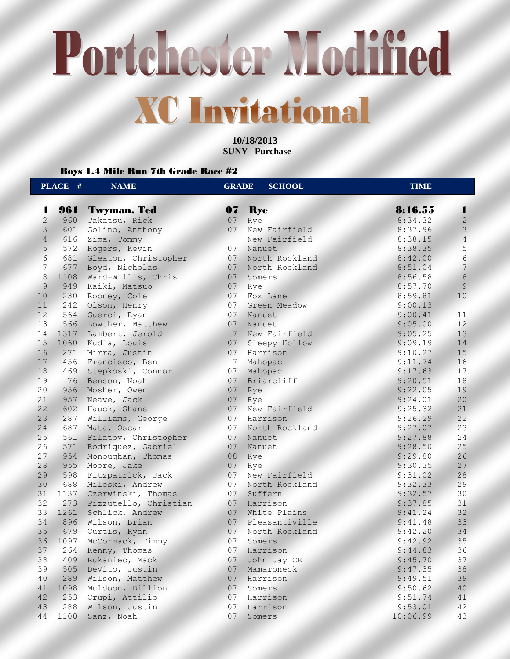**10/18/2013 SUNY Purchase** 

### Boys 1.4 Mile Run 7th Grade Race #2

|                 | PLACE # | <b>NAME</b>               | <b>GRADE</b>    | <b>SCHOOL</b>    | <b>TIME</b> |                |
|-----------------|---------|---------------------------|-----------------|------------------|-------------|----------------|
| 1               | 961     | <b>Twyman, Ted</b>        | 07              | <b>Rye</b>       | 8:16.55     | 1              |
| $\overline{2}$  | 960     | Takatsu, Rick             | 07              | Rye              | 8:34.32     | $\overline{c}$ |
| $\overline{3}$  | 601     | Golino, Anthony           | 07              | New Fairfield    | 8:37.96     | $\mathcal{E}$  |
| $\overline{4}$  | 616     | Zima, Tommy               |                 | New Fairfield    | 8:38.15     | $\overline{4}$ |
| 5               | 572     | Rogers, Kevin             |                 | 07 Nanuet        | 8:38.35     | $\mathsf S$    |
| 6               |         | 681 Gleaton, Christopher  | 07 <sup>2</sup> | North Rockland   | 8:42.00     | $\epsilon$     |
| 7               | 677     | Boyd, Nicholas            | 07              | North Rockland   | 8:51.04     | $7\phantom{.}$ |
| 8               | 1108    | Ward-Willis, Chris        | 07              | Somers           | 8:56.58     | $\,8\,$        |
| $\overline{9}$  | 949     | Kaiki, Matsuo             | 07              | Rye              | 8:57.70     | 9              |
| 10              | 230     | Rooney, Cole              | 07              | Fox Lane         | 8:59.81     | 10             |
| 11              | 242     | Olson, Henry              | 07              | Green Meadow     | 9:00.13     |                |
| 12 <sup>7</sup> | 564     | Guerci, Ryan              | 07              | Nanuet           | 9:00.41     | 11             |
| 13              | 566     | Lowther, Matthew          | 07              | Nanuet           | 9:05.00     | 12             |
| 14              | 1317    | Lambert, Jerold           | 7 <sup>7</sup>  | New Fairfield    | 9:05.25     | 13             |
| 15              | 1060    | Kudla, Louis              | 07<             | Sleepy Hollow    | 9:09.19     | 14             |
| 16              | 271     | Mirra, Justin             | 07              | Harrison         | 9:10.27     | 15             |
| 17              | 456     | Francisco, Ben            | $7\phantom{.0}$ | Mahopac          | 9:11.74     | 16             |
| 18              | 469     | Stepkoski, Connor         | 07              | Mahopac          | 9:17.63     | 17             |
| 19              | 76      | Benson, Noah              | 07 <sup>2</sup> | Briarcliff       | 9:20.51     | 18             |
| 20              | 956     | Mosher, Owen              | 07              | Rye              | 9:22.05     | 19             |
| 21              | 957     | Neave, Jack               | 07              | Rye              | 9:24.01     | 20             |
| 22              | 602     | Hauck, Shane              |                 | 07 New Fairfield | 9:25.32     | 21             |
| 23              | 287     | Williams, George          | 07              | Harrison         | 9:26.29     | 22             |
| 24              | 687     | Mata, Oscar               | 07              | North Rockland   | 9:27.07     | 23             |
| 25              | 561     | Filatov, Christopher      | 07              | Nanuet           | 9:27.88     | 24             |
| 26              | 571     | Rodriquez, Gabriel        | 07              | Nanuet           | 9:28.50     | 25             |
| 27              | 954     | Monoughan, Thomas         | 08              | Rye              | 9:29.80     | 26             |
| 28              | 955     | Moore, Jake               | 07 <sup>°</sup> | Rye              | 9:30.35     | 27             |
| 29              | 598     | Fitzpatrick, Jack         | 07              | New Fairfield    | 9:31.02     | 28             |
| 30              | 688     | Mileski, Andrew           | 07              | North Rockland   | 9:32.33     | 29             |
| 31              |         | 1137 Czerwinski, Thomas   |                 | 07 Suffern       | 9:32.57     | 30             |
| 32              |         | 273 Pizzutello, Christian |                 | 07 Harrison      | 9:37.85     | 31             |
| 33              | 1261    | Schlick, Andrew           | 07              | White Plains     | 9:41.24     | 32             |
| 34              | 896     | Wilson, Brian             | 07              | Pleasantiville   | 9:41.48     | 33             |
| 35              | 679     | Curtis, Ryan              | 07              | North Rockland   | 9:42.20     | 34             |
| 36              | 1097    | McCormack, Timmy          | 07              | Somers           | 9:42.92     | 35             |
| 37              | 264     | Kenny, Thomas             | 07              | Harrison         | 9:44.83     | 36             |
| 38              | 409     | Rukaniec, Mack            | 07              | John Jay CR      | 9:45.70     | 37             |
| 39              | 505     | DeVito, Justin            | 07              | Mamaroneck       | 9:47.35     | 38             |
| 40              | 289     | Wilson, Matthew           | 07              | Harrison         | 9:49.51     | 39             |
| 41              | 1098    | Muldoon, Dillion          | 07              | Somers           | 9:50.62     | 40             |
| 42              | 253     | Crupi, Attilio            | 07              | Harrison         | 9:51.74     | 41             |
| 43              | 288     | Wilson, Justin            | 07              | Harrison         | 9:53.01     | 42             |
| 44              | 1100    | Sanz, Noah                | 07              | Somers           | 10:06.99    | 43             |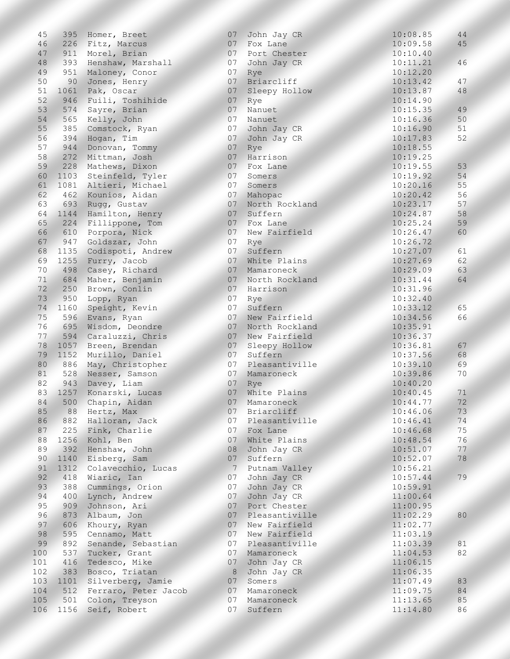| 45       | 395  | Homer, Breet          | 07              | John Jay CR    | 10:08.85             | 44 |
|----------|------|-----------------------|-----------------|----------------|----------------------|----|
| 46       |      | 226 Fitz, Marcus      |                 | 07 Fox Lane    | 10:09.58             | 45 |
| 47       |      | 911 Morel, Brian      | 07              | Port Chester   | 10:10.40             |    |
| 48       | 393  | Henshaw, Marshall     | 07              | John Jay CR    | 10:11.21             | 46 |
| 49       | 951  | Maloney, Conor        | 07              | Rye            | 10:12.20             |    |
| 50       | 90   | Jones, Henry          | 07              | Briarcliff     | 10:13.42             | 47 |
| 51       | 1061 | Pak, Oscar            | 07              | Sleepy Hollow  | 10:13.87             | 48 |
| 52       | 946  | Fuili, Toshihide      | 07              | Rye            | 10:14.90             |    |
| 53       | 574  | Sayre, Brian          | 07              | Nanuet         | 10:15.35             | 49 |
| 54       | 565  | Kelly, John           | 07              | Nanuet         | 10:16.36             | 50 |
| 55       | 385  | Comstock, Ryan        | 07              | John Jay CR    | 10:16.90             | 51 |
| 56       | 394  | Hogan, Tim            | 07 <sup>2</sup> | John Jay CR    | 10:17.83             | 52 |
| 57       | 944  | Donovan, Tommy        | 07              | Rye            | 10:18.55             |    |
| 58       | 272  | Mittman, Josh         | 07              | Harrison       | 10:19.25             |    |
| 59       | 228  | Mathews, Dixon        | 07              | Fox Lane       | 10:19.55             | 53 |
| 60       | 1103 | Steinfeld, Tyler      | 07              | Somers         | 10:19.92             | 54 |
| 61       |      | 1081 Altieri, Michael | 07              | Somers         | 10:20.16             | 55 |
| 62       |      | 462 Kounios, Aidan    | 07              | Mahopac        | 10:20.42             | 56 |
| 63       | 693  | Rugg, Gustav          | 07              | North Rockland | 10:23.17             | 57 |
| 64       |      | 1144 Hamilton, Henry  | 07              | Suffern        | 10:24.87             | 58 |
|          |      |                       |                 |                |                      | 59 |
| 65<br>66 | 610  | 224 Fillippone, Tom   | 07 <sup>2</sup> | Fox Lane       | 10:25.24<br>10:26.47 |    |
|          |      | Porpora, Nick         | 07              | New Fairfield  |                      | 60 |
| 67       | 947  | Goldszar, John        | 07              | Rye            | 10:26.72             |    |
| 68       | 1135 | Codispoti, Andrew     | 07              | Suffern        | 10:27.07             | 61 |
| 69       |      | 1255 Furry, Jacob     | 07              | White Plains   | 10:27.69             | 62 |
| 70       | 498  | Casey, Richard        | 07              | Mamaroneck     | 10:29.09             | 63 |
| 71       | 684  | Maher, Benjamin       | 07 <sup>2</sup> | North Rockland | 10:31.44             | 64 |
| 72       | 250  | Brown, Conlin         |                 | 07 Harrison    | 10:31.96             |    |
| 73       | 950  | Lopp, Ryan            | 07              | Rye            | 10:32.40             |    |
| 74       | 1160 | Speight, Kevin        | 07              | Suffern        | 10:33.12             | 65 |
| 75       |      | 596 Evans, Ryan       | 07              | New Fairfield  | 10:34.56             | 66 |
| 76       | 695  | Wisdom, Deondre       | 07              | North Rockland | 10:35.91             |    |
| 77       | 594  | Caraluzzi, Chris      | 07              | New Fairfield  | 10:36.37             |    |
| 78       | 1057 | Breen, Brendan        | 07              | Sleepy Hollow  | 10:36.81             | 67 |
| 79       |      | 1152 Murillo, Daniel  | 07              | Suffern        | 10:37.56             | 68 |
| 80       |      | 886 May, Christopher  | 07              | Pleasantiville | 10:39.10             | 69 |
| 81       |      | 528 Nesser, Samson    | 07 <sub>2</sub> | Mamaroneck     | 10:39.86             | 70 |
| 82       |      | 943 Davey, Liam       | 07 <sup>2</sup> | Rye            | 10:40.20             |    |
| 83       |      | 1257 Konarski, Lucas  | 07              | White Plains   | 10:40.45             | 71 |
| 84       | 500  | Chapin, Aidan         | 07<             | Mamaroneck     | 10:44.77             | 72 |
| 85       | 88   | Hertz, Max            | 07              | Briarcliff     | 10:46.06             | 73 |
| 86       | 882  | Halloran, Jack        | 07              | Pleasantiville | 10:46.41             | 74 |
| 87       | 225  | Fink, Charlie         | 07              | Fox Lane       | 10:46.68             | 75 |
| 88       | 1256 | Kohl, Ben             | 07              | White Plains   | 10:48.54             | 76 |
| 89       | 392  | Henshaw, John         | 08              | John Jay CR    | 10:51.07             | 77 |
| 90       | 1140 | Eisberg, Sam          | 07              | Suffern        | 10:52.07             | 78 |
| 91       | 1312 | Colavecchio, Lucas    | 7 <sup>7</sup>  | Putnam Valley  | 10:56.21             |    |
| 92       | 418  | Wiaric, Ian           | 07              | John Jay CR    | 10:57.44             | 79 |
| 93       | 388  | Cummings, Orion       | 07              | John Jay CR    | 10:59.91             |    |
| 94       | 400  | Lynch, Andrew         | 07              | John Jay CR    | 11:00.64             |    |
| 95       | 909  | Johnson, Ari          | 07              | Port Chester   | 11:00.95             |    |
| 96       | 873  | Albaum, Jon           | 07              | Pleasantiville | 11:02.29             | 80 |
| 97       | 606  | Khoury, Ryan          | 07              | New Fairfield  | 11:02.77             |    |
| 98       | 595  | Cennamo, Matt         | 07              | New Fairfield  | 11:03.19             |    |
| 99       | 892  | Senande, Sebastian    | 07              | Pleasantiville | 11:03.39             | 81 |
| 100      | 537  | Tucker, Grant         | 07              | Mamaroneck     | 11:04.53             | 82 |
| 101      | 416  | Tedesco, Mike         | 07              | John Jay CR    | 11:06.15             |    |
| 102      | 383  | Bosco, Triatan        | 8               | John Jay CR    | 11:06.35             |    |
| 103      | 1101 | Silverberg, Jamie     | 07              | Somers         | 11:07.49             | 83 |
| 104      | 512  | Ferraro, Peter Jacob  | 07              | Mamaroneck     | 11:09.75             | 84 |
| 105      | 501  | Colon, Treyson        | 07              | Mamaroneck     | 11:13.65             | 85 |
| 106      | 1156 | Seif, Robert          | 07              | Suffern        | 11:14.80             | 86 |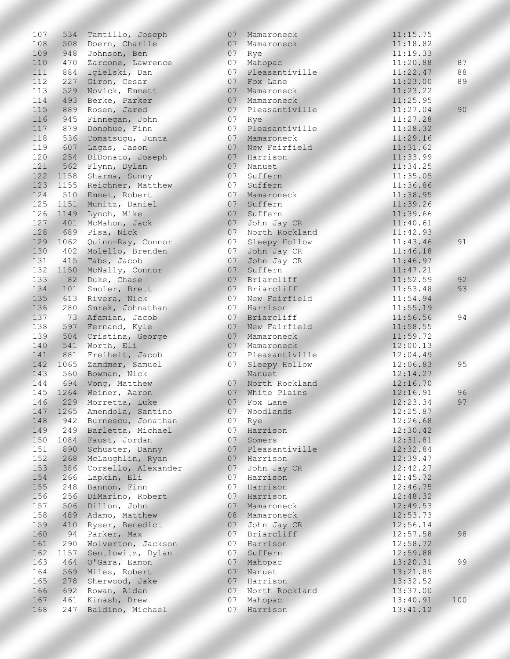| 107 | 534  | Tamtillo, Joseph    | 07              | Mamaroneck     | 11:15.75 |     |
|-----|------|---------------------|-----------------|----------------|----------|-----|
| 108 | 508  | Doern, Charlie      | 07              | Mamaroneck     | 11:18.82 |     |
| 109 | 948  | Johnson, Ben        | 07              | Rye            | 11:19.33 |     |
| 110 | 470  | Zarcone, Lawrence   | 07              | Mahopac        | 11:20.88 | 87  |
| 111 | 884  | Igielski, Dan       | 07              | Pleasantiville | 11:22.47 | 88  |
| 112 | 227  | Giron, Cesar        | 07              | Fox Lane       | 11:23.00 | 89  |
| 113 | 529  | Novick, Emmett      | 07              | Mamaroneck     | 11:23.22 |     |
| 114 | 493  | Berke, Parker       | 07              | Mamaroneck     | 11:25.95 |     |
| 115 | 889  | Rosen, Jared        | 07              | Pleasantiville | 11:27.04 | 90  |
| 116 | 945  | Finnegan, John      | 07              | Rye            | 11:27.28 |     |
| 117 | 879  | Donohue, Finn       | 07              | Pleasantiville | 11:28.32 |     |
| 118 | 536  | Tomatsugu, Junta    | 07              | Mamaroneck     | 11:29.16 |     |
| 119 | 607  | Lagas, Jason        | 07              | New Fairfield  | 11:31.62 |     |
| 120 | 254  | DiDonato, Joseph    | 07              | Harrison       | 11:33.99 |     |
| 121 | 562  | Flynn, Dylan        | 07              | Nanuet         | 11:34.25 |     |
| 122 | 1158 | Sharma, Sunny       | 07              | Suffern        | 11:35.05 |     |
| 123 | 1155 | Reichner, Matthew   | 07              | Suffern        | 11:36.86 |     |
| 124 | 510  | Emmet, Robert       | 07              | Mamaroneck     | 11:38.95 |     |
| 125 | 1151 | Munitz, Daniel      | 07              | Suffern        | 11:39.26 |     |
| 126 | 1149 | Lynch, Mike         | 07              | Suffern        | 11:39.66 |     |
| 127 | 401  | McMahon, Jack       | 07              | John Jay CR    | 11:40.61 |     |
| 128 | 689  | Pisa, Nick          | 07              | North Rockland | 11:42.93 |     |
| 129 | 1062 | Quinn-Ray, Connor   | 07              | Sleepy Hollow  | 11:43.46 | 91  |
| 130 | 402  | Molello, Brenden    | 07              | John Jay CR    | 11:46.18 |     |
| 131 | 415  | Tabs, Jacob         | 07              | John Jay CR    | 11:46.97 |     |
| 132 | 1150 | McNally, Connor     | 07              | Suffern        | 11:47.21 |     |
| 133 | 82   | Duke, Chase         | 07              | Briarcliff     | 11:52.59 | 92  |
| 134 | 101  | Smoler, Brett       | 07              | Briarcliff     | 11:53.48 | 93  |
| 135 | 613  | Rivera, Nick        | 07              | New Fairfield  | 11:54.94 |     |
| 136 | 280  | Smrek, Johnathan    | 07              | Harrison       | 11:55.19 |     |
| 137 | 73   | Afamian, Jacob      | 07              | Briarcliff     | 11:56.56 | 94  |
| 138 | 597  | Fernand, Kyle       | 07              | New Fairfield  | 11:58.55 |     |
| 139 | 504  | Cristina, George    | 07              | Mamaroneck     | 11:59.72 |     |
| 140 | 541  | Worth, Eli          | 07              | Mamaroneck     | 12:00.13 |     |
| 141 | 881  | Freiheit, Jacob     | 07              | Pleasantiville | 12:04.49 |     |
| 142 | 1065 | Zamdmer, Samuel     | 07              | Sleepy Hollow  | 12:06.83 | 95  |
| 143 |      | 560 Bowman, Nick    |                 | Nanuet         | 12:14.27 |     |
| 144 |      | 694 Vong, Matthew   | 07              | North Rockland | 12:16.70 |     |
| 145 | 1264 | Weiner, Aaron       | 07              | White Plains   | 12:16.91 | 96  |
| 146 | 229  | Morretta, Luke      | 07 <sup>°</sup> | Fox Lane       | 12:23.34 | 97  |
| 147 | 1265 | Amendola, Santino   | 07              | Woodlands      | 12:25.87 |     |
| 148 | 942  | Burnescu, Jonathan  | 07              | Rye            | 12:26.68 |     |
| 149 | 249  | Barletta, Michael   | 07              | Harrison       | 12:30.42 |     |
| 150 | 1084 | Faust, Jordan       | 07              | Somers         | 12:31.81 |     |
| 151 | 890  | Schuster, Danny     | 07              | Pleasantiville | 12:32.84 |     |
| 152 | 268  | McLaughlin, Ryan    | 07              | Harrison       | 12:39.47 |     |
| 153 | 386  | Corsello, Alexander | 07              | John Jay CR    | 12:42.27 |     |
| 154 | 266  | Lapkin, Eli         | 07              | Harrison       | 12:45.72 |     |
| 155 | 248  | Bannon, Finn        | 07              | Harrison       | 12:46.75 |     |
| 156 | 256  | DiMarino, Robert    | 07              | Harrison       | 12:48.32 |     |
| 157 | 506  | Dillon, John        | 07              | Mamaroneck     | 12:49.53 |     |
| 158 | 489  | Adamo, Matthew      | 08              | Mamaroneck     | 12:53.73 |     |
| 159 | 410  | Ryser, Benedict     | 07              | John Jay CR    | 12:56.14 |     |
| 160 | 94   | Parker, Max         | 07              | Briarcliff     | 12:57.58 | 98  |
| 161 | 290  | Wolverton, Jackson  | 07              | Harrison       | 12:58.72 |     |
| 162 | 1157 | Sentlowitz, Dylan   | 07              | Suffern        | 12:59.88 |     |
| 163 | 464  | O'Gara, Eamon       | 07              | Mahopac        | 13:20.31 | 99  |
| 164 | 569  | Miles, Robert       | 07              | Nanuet         | 13:21.89 |     |
| 165 | 278  | Sherwood, Jake      | 07              | Harrison       | 13:32.52 |     |
| 166 | 692  | Rowan, Aidan        | 07              | North Rockland | 13:37.00 |     |
| 167 | 461  | Kinash, Drew        | 07              | Mahopac        | 13:40.91 | 100 |
| 168 | 247  | Baldino, Michael    | 07              | Harrison       | 13:41.12 |     |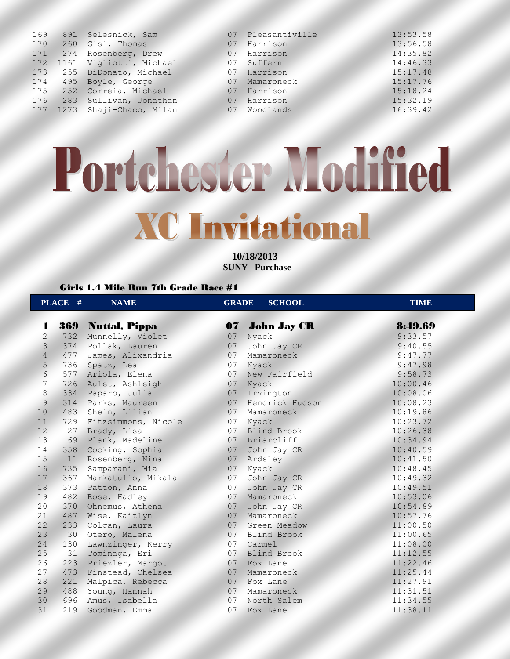| 169 |          | 891 Selesnick, Sam      | 07 | Pleasantiville | 13:53.58 |
|-----|----------|-------------------------|----|----------------|----------|
| 170 | 260      | Gisi, Thomas            | 07 | Harrison       | 13:56.58 |
| 171 |          | 274 Rosenberg, Drew     | 07 | Harrison       | 14:35.82 |
|     | 172 1161 | Vigliotti, Michael      | 07 | Suffern        | 14:46.33 |
| 173 |          | 255 DiDonato, Michael   | 07 | Harrison       | 15:17.48 |
| 174 | 495      | Boyle, George           | 07 | Mamaroneck     | 15:17.76 |
|     | 175 252  | Correia, Michael        | 07 | Harrison       | 15:18.24 |
| 176 | 283      | Sullivan, Jonathan      | 07 | Harrison       | 15:32.19 |
| 177 |          | 1273 Shaji-Chaco, Milan | 07 | Woodlands      | 16:39.42 |
|     |          |                         |    |                |          |

**10/18/2013 SUNY Purchase** 

### Girls 1.4 Mile Run 7th Grade Race #1

|                 | PLACE #         | <b>NAME</b>         | <b>GRADE</b>    | <b>SCHOOL</b>      | <b>TIME</b> |
|-----------------|-----------------|---------------------|-----------------|--------------------|-------------|
| 1               | 369             | Nuttal, Pippa       | 07              | <b>John Jay CR</b> | 8:49.69     |
| $\overline{2}$  | 732             | Munnelly, Violet    | 07              | Nyack              | 9:33.57     |
| $\mathcal{E}$   | 374             | Pollak, Lauren      | 07              | John Jay CR        | 9:40.55     |
| $\overline{4}$  | 477             | James, Alixandria   | 07              | Mamaroneck         | 9:47.77     |
| 5               | 736             | Spatz, Lea          | 07              | Nyack              | 9:47.98     |
| $6\overline{6}$ | 577             | Ariola, Elena       | 07              | New Fairfield      | 9:58.73     |
| $7\phantom{.0}$ | 726             | Aulet, Ashleigh     | 07              | Nyack              | 10:00.46    |
| 8               | 334             | Paparo, Julia       | 07              | Irvington          | 10:08.06    |
| 9               | 314             | Parks, Maureen      | 07 <sup>2</sup> | Hendrick Hudson    | 10:08.23    |
| 10              | 483             | Shein, Lilian       | 07              | Mamaroneck         | 10:19.86    |
| 11              | 729             | Fitzsimmons, Nicole | 07              | Nyack              | 10:23.72    |
| 12 <sup>7</sup> | 27              | Brady, Lisa         | 07              | <b>Blind Brook</b> | 10:26.38    |
| 13              |                 | 69 Plank, Madeline  | 07 <sub>2</sub> | Briarcliff         | 10:34.94    |
| 14              | 358             | Cocking, Sophia     | 07              | John Jay CR        | 10:40.59    |
| 15              | 11              | Rosenberg, Nina     | 07              | Ardsley            | 10:41.50    |
| 16              | 735             | Samparani, Mia      | 07              | Nyack              | 10:48.45    |
| 17              | 367             | Markatulio, Mikala  | 07              | John Jay CR        | 10:49.32    |
| 18              | 373             | Patton, Anna        | 07              | John Jay CR        | 10:49.51    |
| 19              | 482             | Rose, Hadley        | 07              | Mamaroneck         | 10:53.06    |
| 20              | 370             | Ohnemus, Athena     | 07              | John Jay CR        | 10:54.89    |
| 21              | 487             | Wise, Kaitlyn       | 07              | Mamaroneck         | 10:57.76    |
| 22              | 233             | Colgan, Laura       |                 | 07 Green Meadow    | 11:00.50    |
| 23              | 30 <sup>°</sup> | Otero, Malena       |                 | 07 Blind Brook     | 11:00.65    |
| 24              | 130             | Lawnzinger, Kerry   | 07              | Carmel             | 11:08.00    |
| 25              | 31              | Tominaga, Eri       | 07              | <b>Blind Brook</b> | 11:12.55    |
| 26              | 223             | Priezler, Margot    | 07              | Fox Lane           | 11:22.46    |
| 27              | 473             | Finstead, Chelsea   | 07              | Mamaroneck         | 11:25.44    |
| 28              | 221             | Malpica, Rebecca    |                 | 07 Fox Lane        | 11:27.91    |
| 29              | 488             | Young, Hannah       | 07              | Mamaroneck         | 11:31.51    |
| 30              | 696             | Amus, Isabella      | 07              | North Salem        | 11:34.55    |
| 31              | 219             | Goodman, Emma       | 07              | Fox Lane           | 11:38.11    |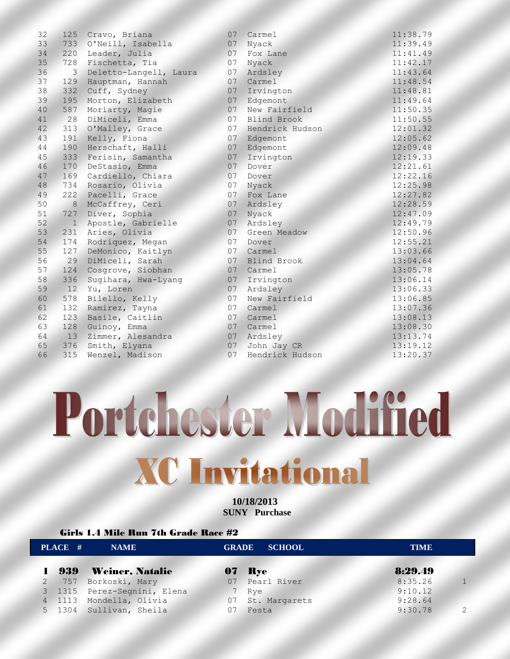| 32              | 125              | Cravo, Briana          | 07 | Carmel             | 11:38.79 |
|-----------------|------------------|------------------------|----|--------------------|----------|
| 33              | 733              | O'Neill, Isabella      | 07 | Nyack              | 11:39.49 |
| 34              | 220              | Leader, Julia          | 07 | Fox Lane           | 11:41.49 |
| 35              | 728              | Fischetta, Tia         | 07 | Nyack              | 11:42.17 |
| 36              | 3                | Deletto-Langell, Laura | 07 | Ardsley            | 11:43.64 |
| 37              | 129              | Hauptman, Hannah       | 07 | Carmel             | 11:48.54 |
| 38              | 332              | Cuff, Sydney           | 07 | Irvington          | 11:48.81 |
| 39              | 195              | Morton, Elizabeth      | 07 | Edgemont           | 11:49.64 |
| 40              | 587              | Moriarty, Magie        | 07 | New Fairfield      | 11:50.35 |
| 41              | 28               | DiMiceli, Emma         | 07 | <b>Blind Brook</b> | 11:50.55 |
| 42 <sup>°</sup> | 313              | O'Malley, Grace        | 07 | Hendrick Hudson    | 12:01.32 |
| 43              | 191              | Kelly, Fiona           | 07 | Edgemont           | 12:05.62 |
| 44              | 190              | Herschaft, Halli       | 07 | Edgemont           | 12:09.48 |
| 45              | 333              | Ferisin, Samantha      | 07 | Irvington          | 12:19.33 |
| 46              | 170              | DeStasio, Emma         | 07 | Dover              | 12:21.61 |
| 47              | 169              | Cardiello, Chiara      | 07 | Dover              | 12:22.16 |
| 48              | 734              | Rosario, Olivia        | 07 | Nyack              | 12:25.98 |
| 49              | 222              | Pacelli, Grace         | 07 | Fox Lane           | 12:27.82 |
| 50              | $\boldsymbol{8}$ | McCaffrey, Ceri        | 07 | Ardsley            | 12:28.59 |
| 51              | 727              | Diver, Sophia          | 07 | Nyack              | 12:47.09 |
| 52              | $1\,$            | Apostle, Gabrielle     | 07 | Ardsley            | 12:49.79 |
| 53              | 231              | Aries, Olivia          | 07 | Green Meadow       | 12:50.96 |
| 54              | 174              | Rodriquez, Megan       | 07 | Dover              | 12:55.21 |
| 55              | 127              | DeMonico, Kaitlyn      | 07 | Carmel             | 13:03.66 |
| 56              | 29               | DiMiceli, Sarah        | 07 | <b>Blind Brook</b> | 13:04.64 |
| 57              | 124              | Cosgrove, Siobhan      | 07 | Carmel             | 13:05.78 |
| 58              | 336              | Sugihara, Hwa-Lyang    | 07 | Irvington          | 13:06.14 |
| 59              | 12               | Yu, Loren              | 07 | Ardsley            | 13:06.33 |
| 60              | 578              | Bilello, Kelly         | 07 | New Fairfield      | 13:06.85 |
| 61              | 132              | Ramirez, Tayna         | 07 | Carmel             | 13:07.36 |
| 62              | 123              | Basile, Caitlin        | 07 | Carmel             | 13:08.13 |
| 63              | 128              | Guinoy, Emma           | 07 | Carmel             | 13:08.30 |
| 64              | 13               | Zimmer, Alesandra      | 07 | Ardsley            | 13:13.74 |
| 65              | 376              | Smith, Elyana          | 07 | John Jay CR        | 13:19.12 |
| 66              | 315              | Wenzel, Madison        | 07 | Hendrick Hudson    | 13:20.37 |
|                 |                  |                        |    |                    |          |

**10/18/2013 SUNY Purchase** 

### Girls 1.4 Mile Run 7th Grade Race #2

| PLACE #<br><b>NAME</b> |     |                             |                | <b>GRADE SCHOOL</b> |         | TIME          |  |
|------------------------|-----|-----------------------------|----------------|---------------------|---------|---------------|--|
|                        | 939 | Weiner, Natalie             |                | <b>07 Rye</b>       | 8:29.49 |               |  |
|                        |     | 2 757 Borkoski, Mary        |                | 07 Pearl River      | 8:35.26 |               |  |
|                        |     | 3 1315 Perez-Segnini, Elena | 7 <sup>7</sup> | Rye                 | 9:10.12 |               |  |
|                        |     | 4 1113 Mondella, Olivia     | 07             | St. Margarets       | 9:28.64 |               |  |
|                        |     | 5 1304 Sullivan, Sheila     | 07             | Festa               | 9:30.78 | $\mathcal{P}$ |  |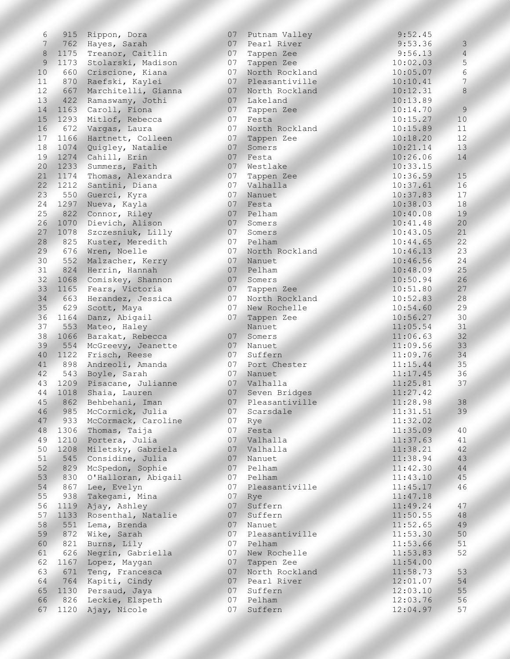| 6               | 915  | Rippon, Dora            |                 | 07 Putnam Valley | 9:52.45  |                |
|-----------------|------|-------------------------|-----------------|------------------|----------|----------------|
| 7               |      | 762 Hayes, Sarah        |                 | 07 Pearl River   | 9:53.36  | $\mathcal{E}$  |
| 8               | 1175 | Treanor, Caitlin        | 07              | Tappen Zee       | 9:56.13  | $\overline{4}$ |
| 9               | 1173 | Stolarski, Madison      | 07              | Tappen Zee       | 10:02.03 | 5              |
| 10              | 660  | Criscione, Kiana        | 07              | North Rockland   | 10:05.07 | $\epsilon$     |
| 11              | 870  | Raefski, Kaylei         | 07              | Pleasantiville   | 10:10.41 | $\overline{7}$ |
| 12              | 667  | Marchitelli, Gianna     | 07              | North Rockland   | 10:12.31 | 8              |
| 13              | 422  | Ramaswamy, Jothi        |                 | 07 Lakeland      | 10:13.89 |                |
|                 |      |                         |                 |                  |          | 9              |
| 14              |      | 1163 Caroll, Fiona      | 07              | Tappen Zee       | 10:14.70 |                |
| 15              | 1293 | Mitlof, Rebecca         | 07              | Festa            | 10:15.27 | 10             |
| 16              |      | 672 Vargas, Laura       | 07              | North Rockland   | 10:15.89 | 11             |
| 17              |      | 1166 Hartnett, Colleen  | 07 <sup>2</sup> | Tappen Zee       | 10:18.20 | 12             |
| 18              | 1074 | Quigley, Natalie        | 07              | Somers           | 10:21.14 | 13             |
| 19              | 1274 | Cahill, Erin            | 07              | Festa            | 10:26.06 | 14             |
| 20              | 1233 | Summers, Faith          | 07 <sup>7</sup> | Westlake         | 10:33.15 |                |
| 21              | 1174 | Thomas, Alexandra       | 07              | Tappen Zee       | 10:36.59 | 15             |
| 22 <sup>7</sup> | 1212 | Santini, Diana          | 07              | Valhalla         | 10:37.61 | 16             |
| 23              |      | 550 Guerci, Kyra        | 07              | Nanuet           | 10:37.83 | 17             |
| 24              | 1297 | Nueva, Kayla            | 07              | Festa            | 10:38.03 | 18             |
| 25              | 822  | Connor, Riley           | 07              | Pelham           | 10:40.08 | 19             |
| 26              | 1070 | Dievich, Alison         | 07              | Somers           | 10:41.48 | 20             |
| 27              | 1078 | Szczesniuk, Lilly       | 07              | Somers           | 10:43.05 | 21             |
| 28              | 825  | Kuster, Meredith        | 07              | Pelham           | 10:44.65 | 22             |
| 29              | 676  | Wren, Noelle            | 07              | North Rockland   | 10:46.13 | 23             |
|                 |      |                         |                 |                  |          | 24             |
| 30              | 552  | Malzacher, Kerry        | 07              | Nanuet           | 10:46.56 |                |
| 31              | 824  | Herrin, Hannah          | 07              | Pelham           | 10:48.09 | 25             |
| 32 <sup>2</sup> | 1068 | Comiskey, Shannon       | 07              | Somers           | 10:50.94 | 26             |
| 33              |      | 1165 Fears, Victoria    | 07              | Tappen Zee       | 10:51.80 | 27             |
| 34              | 663  | Herandez, Jessica       | 07              | North Rockland   | 10:52.83 | 28             |
| 35              | 629  | Scott, Maya             | 07              | New Rochelle     | 10:54.60 | 29             |
| 36              | 1164 | Danz, Abigail           | 07              | Tappen Zee       | 10:56.27 | 30             |
| 37              | 553  | Mateo, Haley            |                 | Nanuet           | 11:05.54 | 31             |
| 38              | 1066 | Barakat, Rebecca        | 07              | Somers           | 11:06.63 | 32             |
| 39              |      | 554 McGreevy, Jeanette  | 07              | Nanuet           | 11:09.56 | 33             |
| 40              | 1122 | Frisch, Reese           | 07              | Suffern          | 11:09.76 | 34             |
| 41              | 898  | Andreoli, Amanda        | 07              | Port Chester     | 11:15.44 | 35             |
| 42              |      | 543 Boyle, Sarah        | 07 <sub>2</sub> | Nanuet           | 11:17.45 | 36             |
| 43              |      | 1209 Pisacane, Julianne | 07 <sup>2</sup> | Valhalla         | 11:25.81 | 37             |
| 44              | 1018 | Shaia, Lauren           | 07              | Seven Bridges    | 11:27.42 |                |
| 45              | 862  | Behbehani, Iman         | 07<             | Pleasantiville   | 11:28.98 | 38             |
|                 |      |                         |                 |                  |          |                |
| 46              | 985  | McCormick, Julia        | 07              | Scarsdale        | 11:31.51 | 39             |
| 47              | 933  | McCormack, Caroline     | 07              | Rye              | 11:32.02 |                |
| 48              | 1306 | Thomas, Taija           | 07              | Festa            | 11:35.09 | 40             |
| 49              |      | 1210 Portera, Julia     | 07              | Valhalla         | 11:37.63 | 41             |
| 50              | 1208 | Miletsky, Gabriela      | 07              | Valhalla         | 11:38.21 | 42             |
| 51              | 545  | Considine, Julia        | 07              | Nanuet           | 11:38.94 | 43             |
| 52              | 829  | McSpedon, Sophie        | 07              | Pelham           | 11:42.30 | 44             |
| 53              | 830  | O'Halloran, Abigail     | 07              | Pelham           | 11:43.10 | 45             |
| 54              | 867  | Lee, Evelyn             | 07              | Pleasantiville   | 11:45.17 | 46             |
| 55              | 938  | Takegami, Mina          | 07              | Rye              | 11:47.18 |                |
| 56              | 1119 | Ajay, Ashley            | 07              | Suffern          | 11:49.24 | 47             |
| 57              | 1133 | Rosenthal, Natalie      | 07              | Suffern          | 11:50.55 | 48             |
| 58              | 551  | Lema, Brenda            | 07              | Nanuet           | 11:52.65 | 49             |
| 59              | 872  | Wike, Sarah             | 07              | Pleasantiville   | 11:53.30 | 50             |
| 60              | 821  | Burns, Lily             | 07              | Pelham           | 11:53.66 | 51             |
| 61              | 626  | Negrin, Gabriella       | 07              | New Rochelle     | 11:53.83 | 52             |
| 62              | 1167 | Lopez, Maygan           | 07              | Tappen Zee       | 11:54.00 |                |
| 63              | 671  | Teng, Francesca         | 07              | North Rockland   | 11:58.73 | 53             |
|                 |      |                         |                 | Pearl River      |          |                |
| 64              | 764  | Kapiti, Cindy           | 07              |                  | 12:01.07 | 54             |
| 65              | 1130 | Persaud, Jaya           | 07              | Suffern          | 12:03.10 | 55             |
| 66              | 826  | Leckie, Elspeth         | 07              | Pelham           | 12:03.76 | 56             |
| 67              | 1120 | Ajay, Nicole            | 07              | Suffern          | 12:04.97 | 57             |